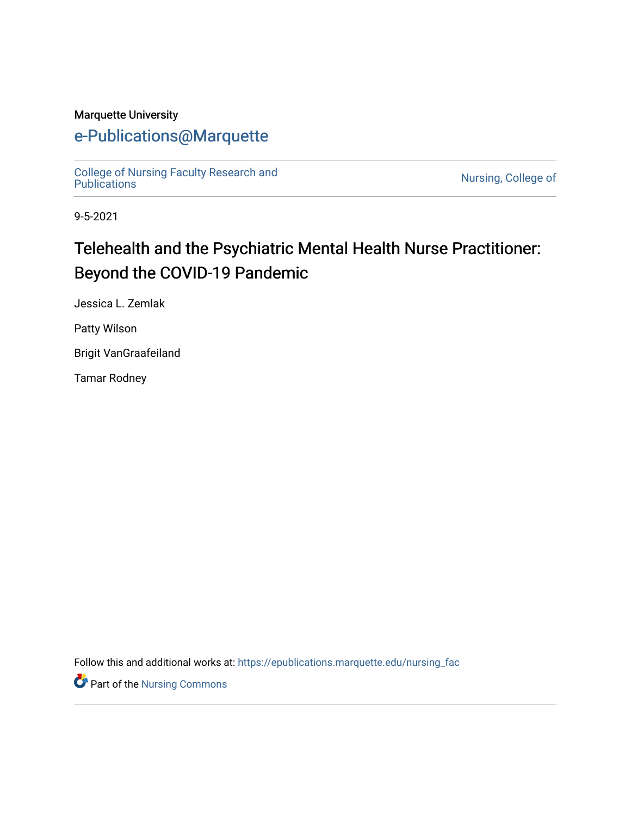#### Marquette University

# [e-Publications@Marquette](https://epublications.marquette.edu/)

[College of Nursing Faculty Research and](https://epublications.marquette.edu/nursing_fac)

Nursing, College of

9-5-2021

# Telehealth and the Psychiatric Mental Health Nurse Practitioner: Beyond the COVID-19 Pandemic

Jessica L. Zemlak

Patty Wilson

Brigit VanGraafeiland

Tamar Rodney

Follow this and additional works at: [https://epublications.marquette.edu/nursing\\_fac](https://epublications.marquette.edu/nursing_fac?utm_source=epublications.marquette.edu%2Fnursing_fac%2F892&utm_medium=PDF&utm_campaign=PDFCoverPages)

Part of the [Nursing Commons](http://network.bepress.com/hgg/discipline/718?utm_source=epublications.marquette.edu%2Fnursing_fac%2F892&utm_medium=PDF&utm_campaign=PDFCoverPages)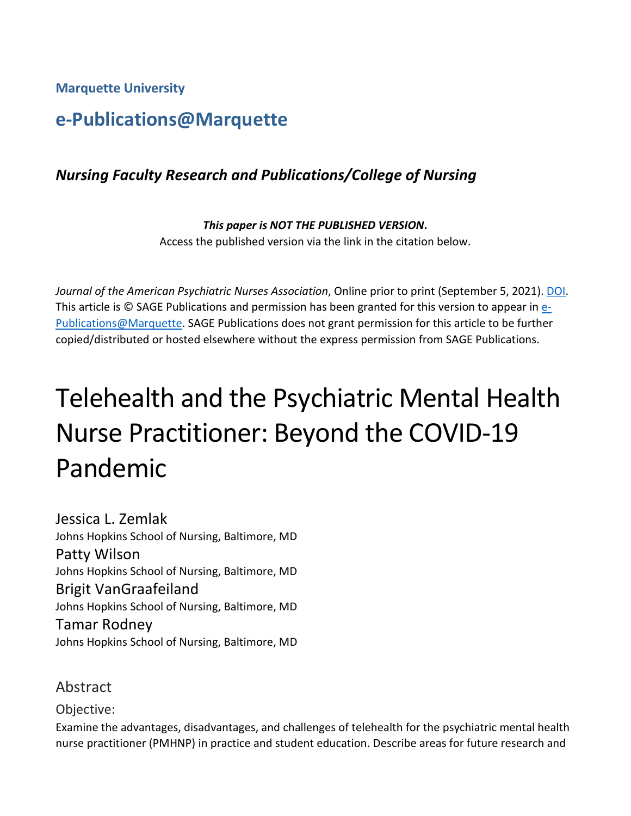**Marquette University**

# **e-Publications@Marquette**

## *Nursing Faculty Research and Publications/College of Nursing*

*This paper is NOT THE PUBLISHED VERSION***.**  Access the published version via the link in the citation below.

*Journal of the American Psychiatric Nurses Association*, Online prior to print (September 5, 2021). [DOI.](https://doi.org/10.1177%2F10783903211045119) This article is © SAGE Publications and permission has been granted for this version to appear in [e-](http://epublications.marquette.edu/)[Publications@Marquette.](http://epublications.marquette.edu/) SAGE Publications does not grant permission for this article to be further copied/distributed or hosted elsewhere without the express permission from SAGE Publications.

# Telehealth and the Psychiatric Mental Health Nurse Practitioner: Beyond the COVID-19 Pandemic

Jessica L. Zemlak Johns Hopkins School of Nursing, Baltimore, MD Patty Wilson Johns Hopkins School of Nursing, Baltimore, MD Brigit VanGraafeiland Johns Hopkins School of Nursing, Baltimore, MD Tamar Rodney Johns Hopkins School of Nursing, Baltimore, MD

Abstract

Objective:

Examine the advantages, disadvantages, and challenges of telehealth for the psychiatric mental health nurse practitioner (PMHNP) in practice and student education. Describe areas for future research and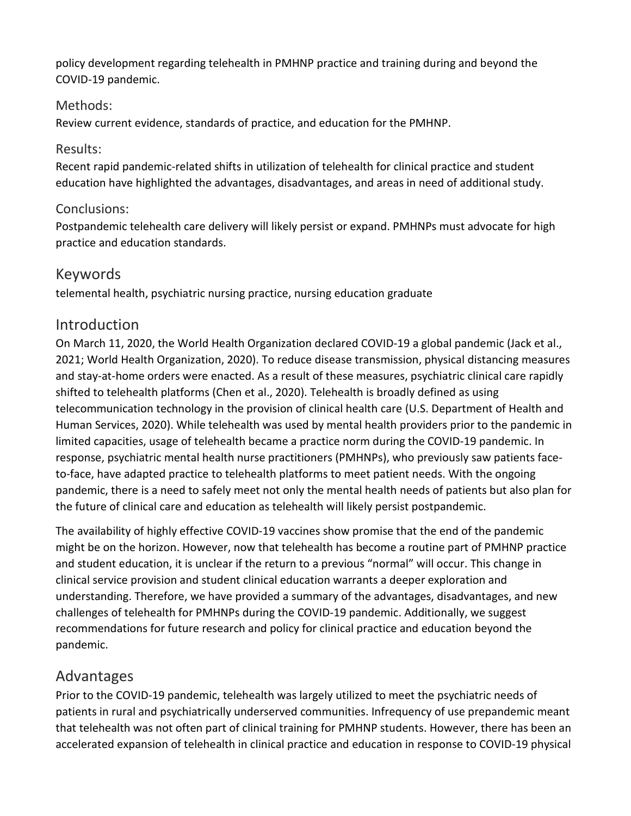policy development regarding telehealth in PMHNP practice and training during and beyond the COVID-19 pandemic.

#### Methods:

Review current evidence, standards of practice, and education for the PMHNP.

#### Results:

Recent rapid pandemic-related shifts in utilization of telehealth for clinical practice and student education have highlighted the advantages, disadvantages, and areas in need of additional study.

#### Conclusions:

Postpandemic telehealth care delivery will likely persist or expand. PMHNPs must advocate for high practice and education standards.

#### Keywords

telemental health, psychiatric nursing practice, nursing education graduate

#### **Introduction**

On March 11, 2020, the World Health Organization declared COVID-19 a global pandemic (Jack et al., 2021; World Health Organization, 2020). To reduce disease transmission, physical distancing measures and stay-at-home orders were enacted. As a result of these measures, psychiatric clinical care rapidly shifted to telehealth platforms (Chen et al., 2020). Telehealth is broadly defined as using telecommunication technology in the provision of clinical health care (U.S. Department of Health and Human Services, 2020). While telehealth was used by mental health providers prior to the pandemic in limited capacities, usage of telehealth became a practice norm during the COVID-19 pandemic. In response, psychiatric mental health nurse practitioners (PMHNPs), who previously saw patients faceto-face, have adapted practice to telehealth platforms to meet patient needs. With the ongoing pandemic, there is a need to safely meet not only the mental health needs of patients but also plan for the future of clinical care and education as telehealth will likely persist postpandemic.

The availability of highly effective COVID-19 vaccines show promise that the end of the pandemic might be on the horizon. However, now that telehealth has become a routine part of PMHNP practice and student education, it is unclear if the return to a previous "normal" will occur. This change in clinical service provision and student clinical education warrants a deeper exploration and understanding. Therefore, we have provided a summary of the advantages, disadvantages, and new challenges of telehealth for PMHNPs during the COVID-19 pandemic. Additionally, we suggest recommendations for future research and policy for clinical practice and education beyond the pandemic.

### Advantages

Prior to the COVID-19 pandemic, telehealth was largely utilized to meet the psychiatric needs of patients in rural and psychiatrically underserved communities. Infrequency of use prepandemic meant that telehealth was not often part of clinical training for PMHNP students. However, there has been an accelerated expansion of telehealth in clinical practice and education in response to COVID-19 physical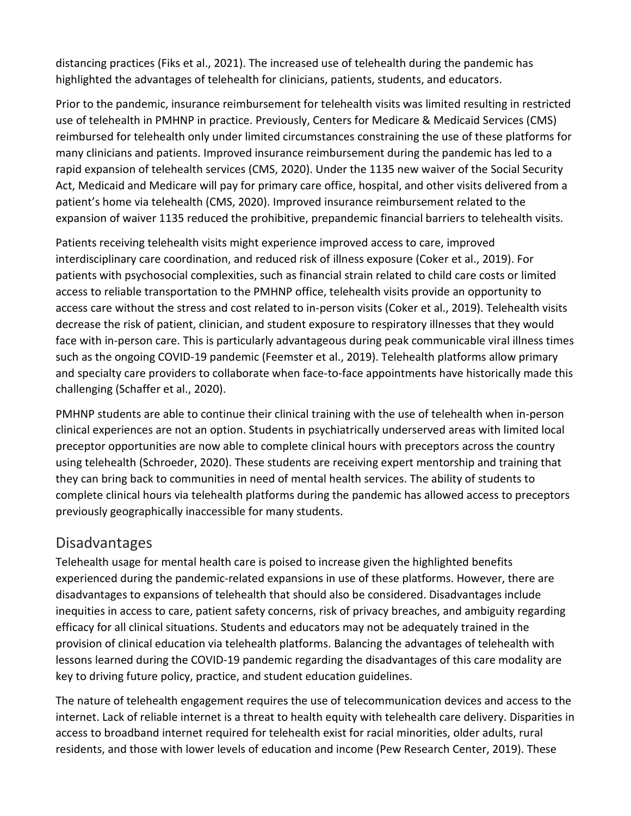distancing practices (Fiks et al., 2021). The increased use of telehealth during the pandemic has highlighted the advantages of telehealth for clinicians, patients, students, and educators.

Prior to the pandemic, insurance reimbursement for telehealth visits was limited resulting in restricted use of telehealth in PMHNP in practice. Previously, Centers for Medicare & Medicaid Services (CMS) reimbursed for telehealth only under limited circumstances constraining the use of these platforms for many clinicians and patients. Improved insurance reimbursement during the pandemic has led to a rapid expansion of telehealth services (CMS, 2020). Under the 1135 new waiver of the Social Security Act, Medicaid and Medicare will pay for primary care office, hospital, and other visits delivered from a patient's home via telehealth (CMS, 2020). Improved insurance reimbursement related to the expansion of waiver 1135 reduced the prohibitive, prepandemic financial barriers to telehealth visits.

Patients receiving telehealth visits might experience improved access to care, improved interdisciplinary care coordination, and reduced risk of illness exposure (Coker et al., 2019). For patients with psychosocial complexities, such as financial strain related to child care costs or limited access to reliable transportation to the PMHNP office, telehealth visits provide an opportunity to access care without the stress and cost related to in-person visits (Coker et al., 2019). Telehealth visits decrease the risk of patient, clinician, and student exposure to respiratory illnesses that they would face with in-person care. This is particularly advantageous during peak communicable viral illness times such as the ongoing COVID-19 pandemic (Feemster et al., 2019). Telehealth platforms allow primary and specialty care providers to collaborate when face-to-face appointments have historically made this challenging (Schaffer et al., 2020).

PMHNP students are able to continue their clinical training with the use of telehealth when in-person clinical experiences are not an option. Students in psychiatrically underserved areas with limited local preceptor opportunities are now able to complete clinical hours with preceptors across the country using telehealth (Schroeder, 2020). These students are receiving expert mentorship and training that they can bring back to communities in need of mental health services. The ability of students to complete clinical hours via telehealth platforms during the pandemic has allowed access to preceptors previously geographically inaccessible for many students.

### Disadvantages

Telehealth usage for mental health care is poised to increase given the highlighted benefits experienced during the pandemic-related expansions in use of these platforms. However, there are disadvantages to expansions of telehealth that should also be considered. Disadvantages include inequities in access to care, patient safety concerns, risk of privacy breaches, and ambiguity regarding efficacy for all clinical situations. Students and educators may not be adequately trained in the provision of clinical education via telehealth platforms. Balancing the advantages of telehealth with lessons learned during the COVID-19 pandemic regarding the disadvantages of this care modality are key to driving future policy, practice, and student education guidelines.

The nature of telehealth engagement requires the use of telecommunication devices and access to the internet. Lack of reliable internet is a threat to health equity with telehealth care delivery. Disparities in access to broadband internet required for telehealth exist for racial minorities, older adults, rural residents, and those with lower levels of education and income (Pew Research Center, 2019). These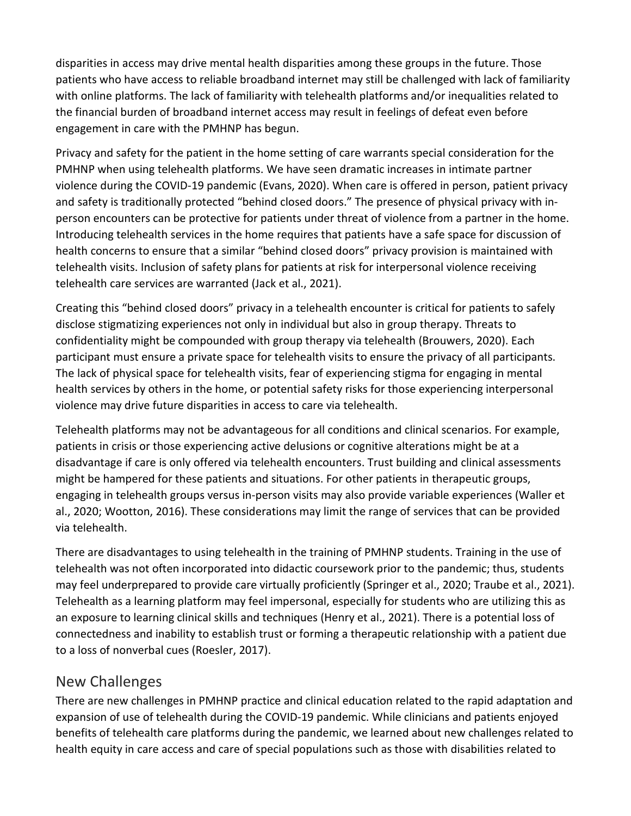disparities in access may drive mental health disparities among these groups in the future. Those patients who have access to reliable broadband internet may still be challenged with lack of familiarity with online platforms. The lack of familiarity with telehealth platforms and/or inequalities related to the financial burden of broadband internet access may result in feelings of defeat even before engagement in care with the PMHNP has begun.

Privacy and safety for the patient in the home setting of care warrants special consideration for the PMHNP when using telehealth platforms. We have seen dramatic increases in intimate partner violence during the COVID-19 pandemic (Evans, 2020). When care is offered in person, patient privacy and safety is traditionally protected "behind closed doors." The presence of physical privacy with inperson encounters can be protective for patients under threat of violence from a partner in the home. Introducing telehealth services in the home requires that patients have a safe space for discussion of health concerns to ensure that a similar "behind closed doors" privacy provision is maintained with telehealth visits. Inclusion of safety plans for patients at risk for interpersonal violence receiving telehealth care services are warranted (Jack et al., 2021).

Creating this "behind closed doors" privacy in a telehealth encounter is critical for patients to safely disclose stigmatizing experiences not only in individual but also in group therapy. Threats to confidentiality might be compounded with group therapy via telehealth (Brouwers, 2020). Each participant must ensure a private space for telehealth visits to ensure the privacy of all participants. The lack of physical space for telehealth visits, fear of experiencing stigma for engaging in mental health services by others in the home, or potential safety risks for those experiencing interpersonal violence may drive future disparities in access to care via telehealth.

Telehealth platforms may not be advantageous for all conditions and clinical scenarios. For example, patients in crisis or those experiencing active delusions or cognitive alterations might be at a disadvantage if care is only offered via telehealth encounters. Trust building and clinical assessments might be hampered for these patients and situations. For other patients in therapeutic groups, engaging in telehealth groups versus in-person visits may also provide variable experiences (Waller et al., 2020; Wootton, 2016). These considerations may limit the range of services that can be provided via telehealth.

There are disadvantages to using telehealth in the training of PMHNP students. Training in the use of telehealth was not often incorporated into didactic coursework prior to the pandemic; thus, students may feel underprepared to provide care virtually proficiently (Springer et al., 2020; Traube et al., 2021). Telehealth as a learning platform may feel impersonal, especially for students who are utilizing this as an exposure to learning clinical skills and techniques (Henry et al., 2021). There is a potential loss of connectedness and inability to establish trust or forming a therapeutic relationship with a patient due to a loss of nonverbal cues (Roesler, 2017).

#### New Challenges

There are new challenges in PMHNP practice and clinical education related to the rapid adaptation and expansion of use of telehealth during the COVID-19 pandemic. While clinicians and patients enjoyed benefits of telehealth care platforms during the pandemic, we learned about new challenges related to health equity in care access and care of special populations such as those with disabilities related to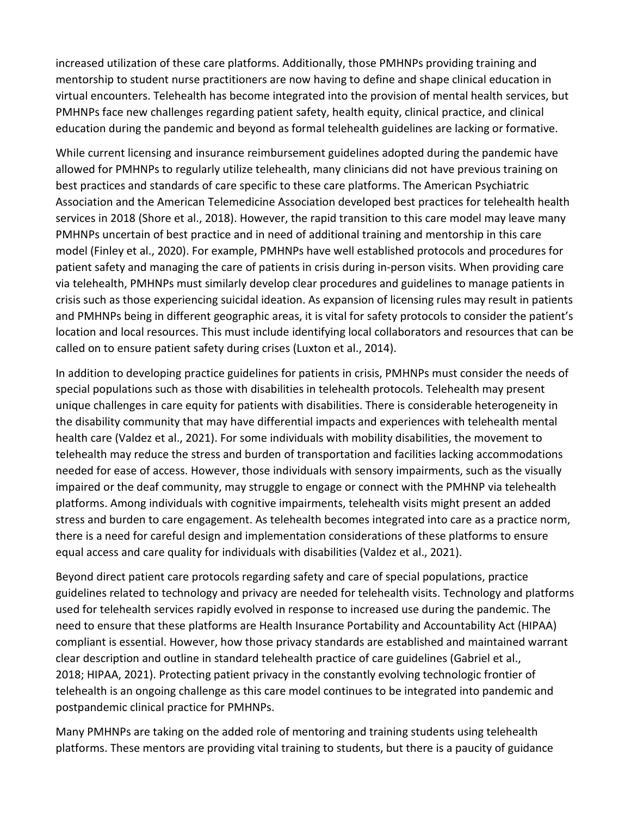increased utilization of these care platforms. Additionally, those PMHNPs providing training and mentorship to student nurse practitioners are now having to define and shape clinical education in virtual encounters. Telehealth has become integrated into the provision of mental health services, but PMHNPs face new challenges regarding patient safety, health equity, clinical practice, and clinical education during the pandemic and beyond as formal telehealth guidelines are lacking or formative.

While current licensing and insurance reimbursement guidelines adopted during the pandemic have allowed for PMHNPs to regularly utilize telehealth, many clinicians did not have previous training on best practices and standards of care specific to these care platforms. The American Psychiatric Association and the American Telemedicine Association developed best practices for telehealth health services in 2018 (Shore et al., 2018). However, the rapid transition to this care model may leave many PMHNPs uncertain of best practice and in need of additional training and mentorship in this care model (Finley et al., 2020). For example, PMHNPs have well established protocols and procedures for patient safety and managing the care of patients in crisis during in-person visits. When providing care via telehealth, PMHNPs must similarly develop clear procedures and guidelines to manage patients in crisis such as those experiencing suicidal ideation. As expansion of licensing rules may result in patients and PMHNPs being in different geographic areas, it is vital for safety protocols to consider the patient's location and local resources. This must include identifying local collaborators and resources that can be called on to ensure patient safety during crises (Luxton et al., 2014).

In addition to developing practice guidelines for patients in crisis, PMHNPs must consider the needs of special populations such as those with disabilities in telehealth protocols. Telehealth may present unique challenges in care equity for patients with disabilities. There is considerable heterogeneity in the disability community that may have differential impacts and experiences with telehealth mental health care (Valdez et al., 2021). For some individuals with mobility disabilities, the movement to telehealth may reduce the stress and burden of transportation and facilities lacking accommodations needed for ease of access. However, those individuals with sensory impairments, such as the visually impaired or the deaf community, may struggle to engage or connect with the PMHNP via telehealth platforms. Among individuals with cognitive impairments, telehealth visits might present an added stress and burden to care engagement. As telehealth becomes integrated into care as a practice norm, there is a need for careful design and implementation considerations of these platforms to ensure equal access and care quality for individuals with disabilities (Valdez et al., 2021).

Beyond direct patient care protocols regarding safety and care of special populations, practice guidelines related to technology and privacy are needed for telehealth visits. Technology and platforms used for telehealth services rapidly evolved in response to increased use during the pandemic. The need to ensure that these platforms are Health Insurance Portability and Accountability Act (HIPAA) compliant is essential. However, how those privacy standards are established and maintained warrant clear description and outline in standard telehealth practice of care guidelines (Gabriel et al., 2018; HIPAA, 2021). Protecting patient privacy in the constantly evolving technologic frontier of telehealth is an ongoing challenge as this care model continues to be integrated into pandemic and postpandemic clinical practice for PMHNPs.

Many PMHNPs are taking on the added role of mentoring and training students using telehealth platforms. These mentors are providing vital training to students, but there is a paucity of guidance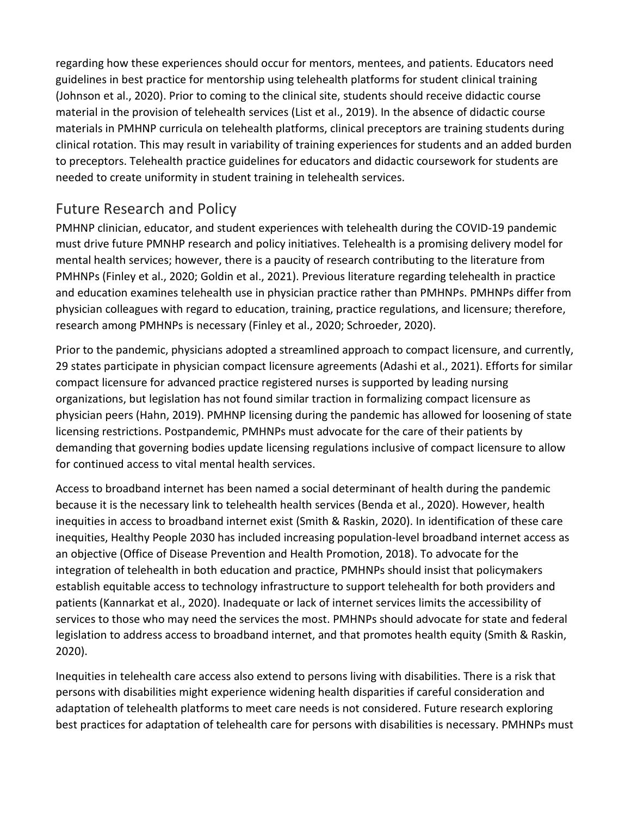regarding how these experiences should occur for mentors, mentees, and patients. Educators need guidelines in best practice for mentorship using telehealth platforms for student clinical training (Johnson et al., 2020). Prior to coming to the clinical site, students should receive didactic course material in the provision of telehealth services (List et al., 2019). In the absence of didactic course materials in PMHNP curricula on telehealth platforms, clinical preceptors are training students during clinical rotation. This may result in variability of training experiences for students and an added burden to preceptors. Telehealth practice guidelines for educators and didactic coursework for students are needed to create uniformity in student training in telehealth services.

## Future Research and Policy

PMHNP clinician, educator, and student experiences with telehealth during the COVID-19 pandemic must drive future PMNHP research and policy initiatives. Telehealth is a promising delivery model for mental health services; however, there is a paucity of research contributing to the literature from PMHNPs (Finley et al., 2020; Goldin et al., 2021). Previous literature regarding telehealth in practice and education examines telehealth use in physician practice rather than PMHNPs. PMHNPs differ from physician colleagues with regard to education, training, practice regulations, and licensure; therefore, research among PMHNPs is necessary (Finley et al., 2020; Schroeder, 2020).

Prior to the pandemic, physicians adopted a streamlined approach to compact licensure, and currently, 29 states participate in physician compact licensure agreements (Adashi et al., 2021). Efforts for similar compact licensure for advanced practice registered nurses is supported by leading nursing organizations, but legislation has not found similar traction in formalizing compact licensure as physician peers (Hahn, 2019). PMHNP licensing during the pandemic has allowed for loosening of state licensing restrictions. Postpandemic, PMHNPs must advocate for the care of their patients by demanding that governing bodies update licensing regulations inclusive of compact licensure to allow for continued access to vital mental health services.

Access to broadband internet has been named a social determinant of health during the pandemic because it is the necessary link to telehealth health services (Benda et al., 2020). However, health inequities in access to broadband internet exist (Smith & Raskin, 2020). In identification of these care inequities, Healthy People 2030 has included increasing population-level broadband internet access as an objective (Office of Disease Prevention and Health Promotion, 2018). To advocate for the integration of telehealth in both education and practice, PMHNPs should insist that policymakers establish equitable access to technology infrastructure to support telehealth for both providers and patients (Kannarkat et al., 2020). Inadequate or lack of internet services limits the accessibility of services to those who may need the services the most. PMHNPs should advocate for state and federal legislation to address access to broadband internet, and that promotes health equity (Smith & Raskin, 2020).

Inequities in telehealth care access also extend to persons living with disabilities. There is a risk that persons with disabilities might experience widening health disparities if careful consideration and adaptation of telehealth platforms to meet care needs is not considered. Future research exploring best practices for adaptation of telehealth care for persons with disabilities is necessary. PMHNPs must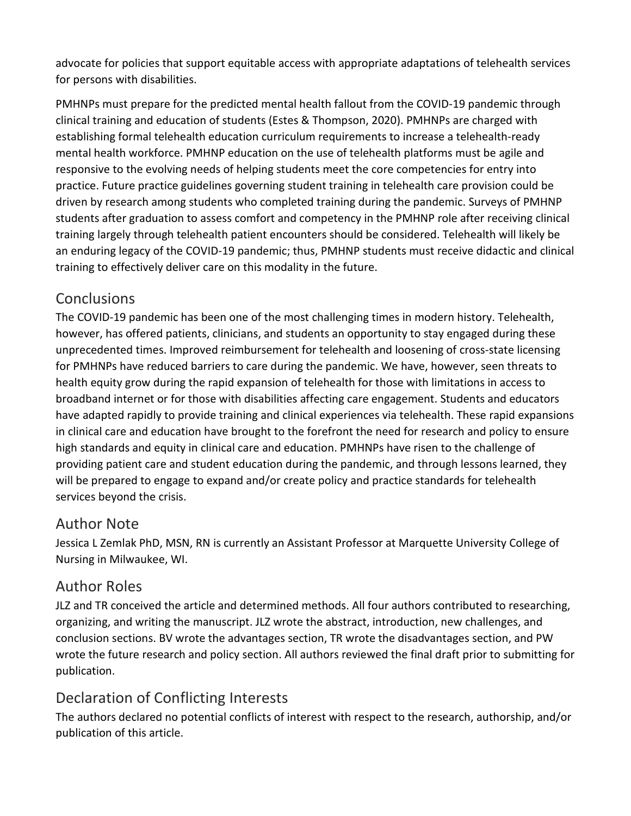advocate for policies that support equitable access with appropriate adaptations of telehealth services for persons with disabilities.

PMHNPs must prepare for the predicted mental health fallout from the COVID-19 pandemic through clinical training and education of students (Estes & Thompson, 2020). PMHNPs are charged with establishing formal telehealth education curriculum requirements to increase a telehealth-ready mental health workforce. PMHNP education on the use of telehealth platforms must be agile and responsive to the evolving needs of helping students meet the core competencies for entry into practice. Future practice guidelines governing student training in telehealth care provision could be driven by research among students who completed training during the pandemic. Surveys of PMHNP students after graduation to assess comfort and competency in the PMHNP role after receiving clinical training largely through telehealth patient encounters should be considered. Telehealth will likely be an enduring legacy of the COVID-19 pandemic; thus, PMHNP students must receive didactic and clinical training to effectively deliver care on this modality in the future.

## **Conclusions**

The COVID-19 pandemic has been one of the most challenging times in modern history. Telehealth, however, has offered patients, clinicians, and students an opportunity to stay engaged during these unprecedented times. Improved reimbursement for telehealth and loosening of cross-state licensing for PMHNPs have reduced barriers to care during the pandemic. We have, however, seen threats to health equity grow during the rapid expansion of telehealth for those with limitations in access to broadband internet or for those with disabilities affecting care engagement. Students and educators have adapted rapidly to provide training and clinical experiences via telehealth. These rapid expansions in clinical care and education have brought to the forefront the need for research and policy to ensure high standards and equity in clinical care and education. PMHNPs have risen to the challenge of providing patient care and student education during the pandemic, and through lessons learned, they will be prepared to engage to expand and/or create policy and practice standards for telehealth services beyond the crisis.

### Author Note

Jessica L Zemlak PhD, MSN, RN is currently an Assistant Professor at Marquette University College of Nursing in Milwaukee, WI.

## Author Roles

JLZ and TR conceived the article and determined methods. All four authors contributed to researching, organizing, and writing the manuscript. JLZ wrote the abstract, introduction, new challenges, and conclusion sections. BV wrote the advantages section, TR wrote the disadvantages section, and PW wrote the future research and policy section. All authors reviewed the final draft prior to submitting for publication.

## Declaration of Conflicting Interests

The authors declared no potential conflicts of interest with respect to the research, authorship, and/or publication of this article.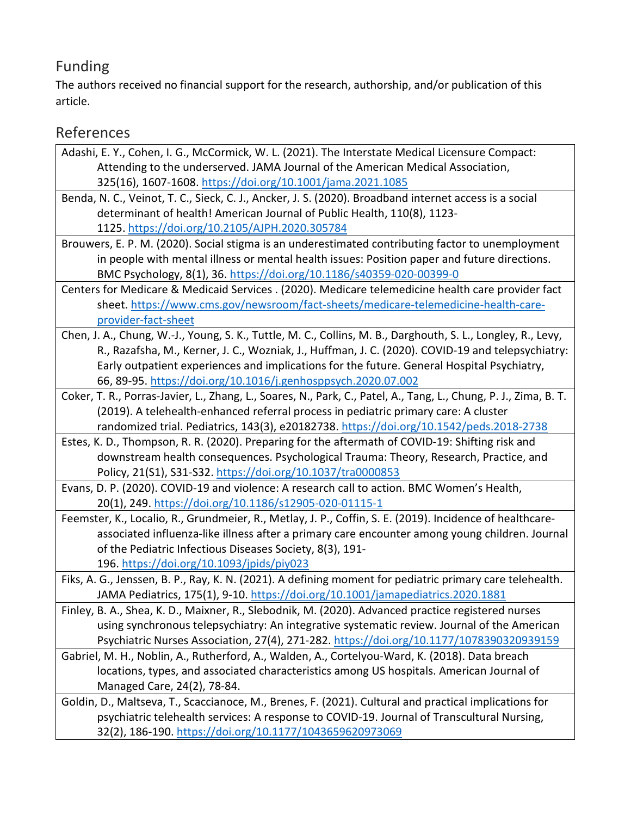# Funding

The authors received no financial support for the research, authorship, and/or publication of this article.

# References

| Adashi, E. Y., Cohen, I. G., McCormick, W. L. (2021). The Interstate Medical Licensure Compact:                  |
|------------------------------------------------------------------------------------------------------------------|
| Attending to the underserved. JAMA Journal of the American Medical Association,                                  |
| 325(16), 1607-1608. https://doi.org/10.1001/jama.2021.1085                                                       |
| Benda, N. C., Veinot, T. C., Sieck, C. J., Ancker, J. S. (2020). Broadband internet access is a social           |
| determinant of health! American Journal of Public Health, 110(8), 1123-                                          |
| 1125. https://doi.org/10.2105/AJPH.2020.305784                                                                   |
| Brouwers, E. P. M. (2020). Social stigma is an underestimated contributing factor to unemployment                |
| in people with mental illness or mental health issues: Position paper and future directions.                     |
| BMC Psychology, 8(1), 36. https://doi.org/10.1186/s40359-020-00399-0                                             |
| Centers for Medicare & Medicaid Services . (2020). Medicare telemedicine health care provider fact               |
| sheet. https://www.cms.gov/newsroom/fact-sheets/medicare-telemedicine-health-care-                               |
| provider-fact-sheet                                                                                              |
| Chen, J. A., Chung, W.-J., Young, S. K., Tuttle, M. C., Collins, M. B., Darghouth, S. L., Longley, R., Levy,     |
| R., Razafsha, M., Kerner, J. C., Wozniak, J., Huffman, J. C. (2020). COVID-19 and telepsychiatry:                |
| Early outpatient experiences and implications for the future. General Hospital Psychiatry,                       |
| 66, 89-95. https://doi.org/10.1016/j.genhosppsych.2020.07.002                                                    |
| Coker, T. R., Porras-Javier, L., Zhang, L., Soares, N., Park, C., Patel, A., Tang, L., Chung, P. J., Zima, B. T. |
| (2019). A telehealth-enhanced referral process in pediatric primary care: A cluster                              |
| randomized trial. Pediatrics, 143(3), e20182738. https://doi.org/10.1542/peds.2018-2738                          |
| Estes, K. D., Thompson, R. R. (2020). Preparing for the aftermath of COVID-19: Shifting risk and                 |
| downstream health consequences. Psychological Trauma: Theory, Research, Practice, and                            |
| Policy, 21(S1), S31-S32. https://doi.org/10.1037/tra0000853                                                      |
| Evans, D. P. (2020). COVID-19 and violence: A research call to action. BMC Women's Health,                       |
| 20(1), 249. https://doi.org/10.1186/s12905-020-01115-1                                                           |
| Feemster, K., Localio, R., Grundmeier, R., Metlay, J. P., Coffin, S. E. (2019). Incidence of healthcare-         |
| associated influenza-like illness after a primary care encounter among young children. Journal                   |
| of the Pediatric Infectious Diseases Society, 8(3), 191-                                                         |
| 196. https://doi.org/10.1093/jpids/piy023                                                                        |
| Fiks, A. G., Jenssen, B. P., Ray, K. N. (2021). A defining moment for pediatric primary care telehealth.         |
| JAMA Pediatrics, 175(1), 9-10. https://doi.org/10.1001/jamapediatrics.2020.1881                                  |
| Finley, B. A., Shea, K. D., Maixner, R., Slebodnik, M. (2020). Advanced practice registered nurses               |
| using synchronous telepsychiatry: An integrative systematic review. Journal of the American                      |
| Psychiatric Nurses Association, 27(4), 271-282. https://doi.org/10.1177/1078390320939159                         |
| Gabriel, M. H., Noblin, A., Rutherford, A., Walden, A., Cortelyou-Ward, K. (2018). Data breach                   |
| locations, types, and associated characteristics among US hospitals. American Journal of                         |
| Managed Care, 24(2), 78-84.                                                                                      |
| Goldin, D., Maltseva, T., Scaccianoce, M., Brenes, F. (2021). Cultural and practical implications for            |
| psychiatric telehealth services: A response to COVID-19. Journal of Transcultural Nursing,                       |
| 32(2), 186-190. https://doi.org/10.1177/1043659620973069                                                         |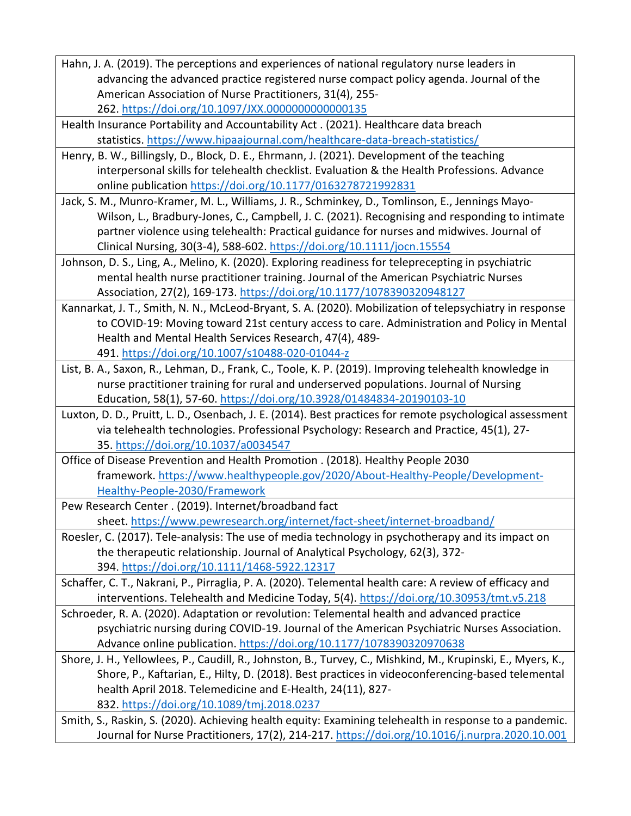| Hahn, J. A. (2019). The perceptions and experiences of national regulatory nurse leaders in                                                                                           |
|---------------------------------------------------------------------------------------------------------------------------------------------------------------------------------------|
| advancing the advanced practice registered nurse compact policy agenda. Journal of the                                                                                                |
| American Association of Nurse Practitioners, 31(4), 255-                                                                                                                              |
| 262. https://doi.org/10.1097/JXX.0000000000000135                                                                                                                                     |
| Health Insurance Portability and Accountability Act. (2021). Healthcare data breach                                                                                                   |
| statistics. https://www.hipaajournal.com/healthcare-data-breach-statistics/                                                                                                           |
| Henry, B. W., Billingsly, D., Block, D. E., Ehrmann, J. (2021). Development of the teaching                                                                                           |
| interpersonal skills for telehealth checklist. Evaluation & the Health Professions. Advance                                                                                           |
| online publication https://doi.org/10.1177/0163278721992831                                                                                                                           |
| Jack, S. M., Munro-Kramer, M. L., Williams, J. R., Schminkey, D., Tomlinson, E., Jennings Mayo-                                                                                       |
| Wilson, L., Bradbury-Jones, C., Campbell, J. C. (2021). Recognising and responding to intimate                                                                                        |
| partner violence using telehealth: Practical guidance for nurses and midwives. Journal of                                                                                             |
| Clinical Nursing, 30(3-4), 588-602. https://doi.org/10.1111/jocn.15554                                                                                                                |
| Johnson, D. S., Ling, A., Melino, K. (2020). Exploring readiness for teleprecepting in psychiatric                                                                                    |
| mental health nurse practitioner training. Journal of the American Psychiatric Nurses                                                                                                 |
| Association, 27(2), 169-173. https://doi.org/10.1177/1078390320948127                                                                                                                 |
| Kannarkat, J. T., Smith, N. N., McLeod-Bryant, S. A. (2020). Mobilization of telepsychiatry in response                                                                               |
| to COVID-19: Moving toward 21st century access to care. Administration and Policy in Mental                                                                                           |
| Health and Mental Health Services Research, 47(4), 489-                                                                                                                               |
| 491. https://doi.org/10.1007/s10488-020-01044-z                                                                                                                                       |
| List, B. A., Saxon, R., Lehman, D., Frank, C., Toole, K. P. (2019). Improving telehealth knowledge in                                                                                 |
| nurse practitioner training for rural and underserved populations. Journal of Nursing                                                                                                 |
| Education, 58(1), 57-60. https://doi.org/10.3928/01484834-20190103-10                                                                                                                 |
| Luxton, D. D., Pruitt, L. D., Osenbach, J. E. (2014). Best practices for remote psychological assessment                                                                              |
| via telehealth technologies. Professional Psychology: Research and Practice, 45(1), 27-                                                                                               |
| 35. https://doi.org/10.1037/a0034547                                                                                                                                                  |
| Office of Disease Prevention and Health Promotion . (2018). Healthy People 2030                                                                                                       |
| framework. https://www.healthypeople.gov/2020/About-Healthy-People/Development-                                                                                                       |
| <b>Healthy-People-2030/Framework</b>                                                                                                                                                  |
| Pew Research Center . (2019). Internet/broadband fact                                                                                                                                 |
| sheet. https://www.pewresearch.org/internet/fact-sheet/internet-broadband/                                                                                                            |
| Roesler, C. (2017). Tele-analysis: The use of media technology in psychotherapy and its impact on                                                                                     |
| the therapeutic relationship. Journal of Analytical Psychology, 62(3), 372-                                                                                                           |
| 394. https://doi.org/10.1111/1468-5922.12317                                                                                                                                          |
| Schaffer, C. T., Nakrani, P., Pirraglia, P. A. (2020). Telemental health care: A review of efficacy and                                                                               |
| interventions. Telehealth and Medicine Today, 5(4). https://doi.org/10.30953/tmt.v5.218<br>Schroeder, R. A. (2020). Adaptation or revolution: Telemental health and advanced practice |
| psychiatric nursing during COVID-19. Journal of the American Psychiatric Nurses Association.                                                                                          |
| Advance online publication. https://doi.org/10.1177/1078390320970638                                                                                                                  |
| Shore, J. H., Yellowlees, P., Caudill, R., Johnston, B., Turvey, C., Mishkind, M., Krupinski, E., Myers, K.,                                                                          |
| Shore, P., Kaftarian, E., Hilty, D. (2018). Best practices in videoconferencing-based telemental                                                                                      |
| health April 2018. Telemedicine and E-Health, 24(11), 827-                                                                                                                            |
| 832. https://doi.org/10.1089/tmj.2018.0237                                                                                                                                            |
| Smith, S., Raskin, S. (2020). Achieving health equity: Examining telehealth in response to a pandemic.                                                                                |
| Journal for Nurse Practitioners, 17(2), 214-217. https://doi.org/10.1016/j.nurpra.2020.10.001                                                                                         |
|                                                                                                                                                                                       |